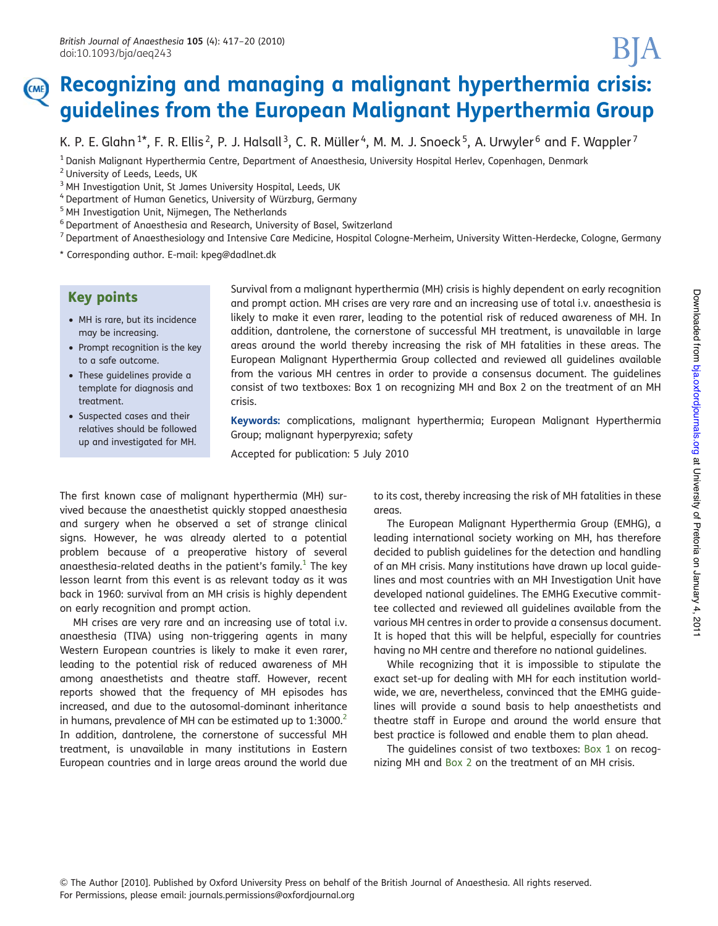# Recognizing and managing a malignant hyperthermia crisis: CME guidelines from the European Malignant Hyperthermia Group

K. P. E. Glahn<sup>1\*</sup>, F. R. Ellis<sup>2</sup>, P. J. Halsall<sup>3</sup>, C. R. Müller<sup>4</sup>, M. M. J. Snoeck<sup>5</sup>, A. Urwyler<sup>6</sup> and F. Wappler<sup>7</sup>

<sup>1</sup> Danish Malignant Hyperthermia Centre, Department of Anaesthesia, University Hospital Herlev, Copenhagen, Denmark

<sup>7</sup> Department of Anaesthesiology and Intensive Care Medicine, Hospital Cologne-Merheim, University Witten-Herdecke, Cologne, Germany

\* Corresponding author. E-mail: [kpeg@dadlnet.dk](mailto:kpeg@dadlnet.dk)

# Key points

- MH is rare, but its incidence may be increasing.
- Prompt recognition is the key to a safe outcome.
- These guidelines provide a template for diagnosis and treatment.
- † Suspected cases and their relatives should be followed up and investigated for MH.

Survival from a malignant hyperthermia (MH) crisis is highly dependent on early recognition and prompt action. MH crises are very rare and an increasing use of total i.v. anaesthesia is likely to make it even rarer, leading to the potential risk of reduced awareness of MH. In addition, dantrolene, the cornerstone of successful MH treatment, is unavailable in large areas around the world thereby increasing the risk of MH fatalities in these areas. The European Malignant Hyperthermia Group collected and reviewed all guidelines available from the various MH centres in order to provide a consensus document. The guidelines consist of two textboxes: Box 1 on recognizing MH and Box 2 on the treatment of an MH crisis.

Keywords: complications, malignant hyperthermia; European Malignant Hyperthermia Group; malignant hyperpyrexia; safety

Accepted for publication: 5 July 2010

The first known case of malignant hyperthermia (MH) survived because the anaesthetist quickly stopped anaesthesia and surgery when he observed a set of strange clinical signs. However, he was already alerted to a potential problem because of a preoperative history of several anaesthesia-related deaths in the patient's family.<sup>[1](#page-3-0)</sup> The key lesson learnt from this event is as relevant today as it was back in 1960: survival from an MH crisis is highly dependent on early recognition and prompt action.

MH crises are very rare and an increasing use of total i.v. anaesthesia (TIVA) using non-triggering agents in many Western European countries is likely to make it even rarer, leading to the potential risk of reduced awareness of MH among anaesthetists and theatre staff. However, recent reports showed that the frequency of MH episodes has increased, and due to the autosomal-dominant inheritance in humans, prevalence of MH can be estimated up to  $1:3000$ .<sup>2</sup> In addition, dantrolene, the cornerstone of successful MH treatment, is unavailable in many institutions in Eastern European countries and in large areas around the world due

to its cost, thereby increasing the risk of MH fatalities in these areas.

The European Malignant Hyperthermia Group (EMHG), a leading international society working on MH, has therefore decided to publish guidelines for the detection and handling of an MH crisis. Many institutions have drawn up local guidelines and most countries with an MH Investigation Unit have developed national guidelines. The EMHG Executive committee collected and reviewed all guidelines available from the various MH centres in order to provide a consensus document. It is hoped that this will be helpful, especially for countries having no MH centre and therefore no national guidelines.

While recognizing that it is impossible to stipulate the exact set-up for dealing with MH for each institution worldwide, we are, nevertheless, convinced that the EMHG guidelines will provide a sound basis to help anaesthetists and theatre staff in Europe and around the world ensure that best practice is followed and enable them to plan ahead.

The guidelines consist of two textboxes: Box 1 on recognizing MH and Box 2 on the treatment of an MH crisis.

<sup>2</sup> University of Leeds, Leeds, UK

<sup>&</sup>lt;sup>3</sup> MH Investigation Unit, St James University Hospital, Leeds, UK

<sup>&</sup>lt;sup>4</sup> Department of Human Genetics, University of Würzburg, Germany

<sup>5</sup> MH Investigation Unit, Nijmegen, The Netherlands

<sup>6</sup> Department of Anaesthesia and Research, University of Basel, Switzerland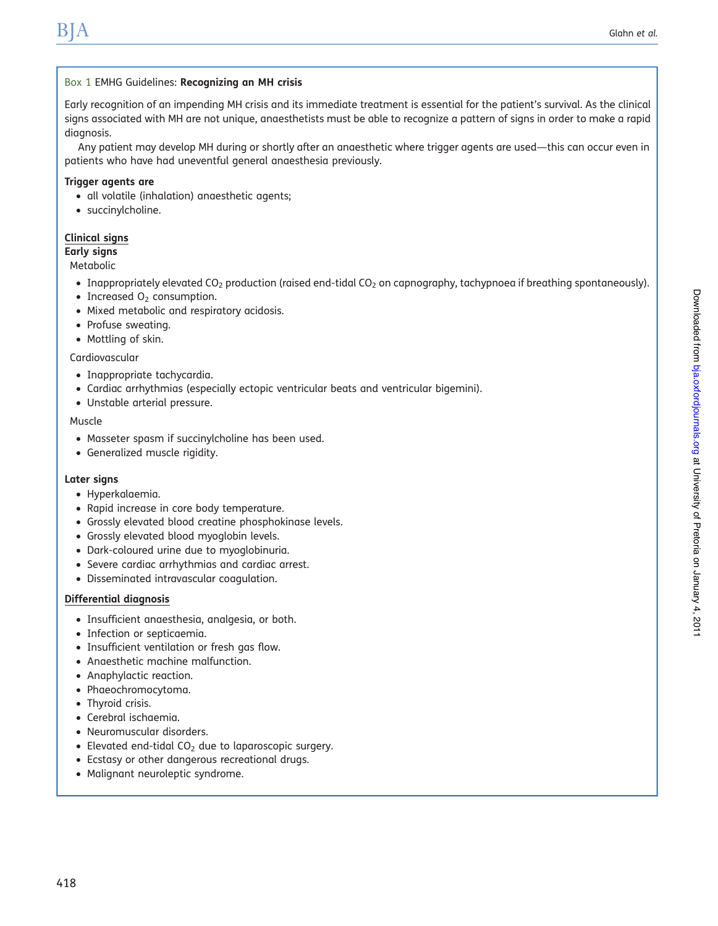#### Box 1 EMHG Guidelines: Recognizing an MH crisis

Early recognition of an impending MH crisis and its immediate treatment is essential for the patient's survival. As the clinical signs associated with MH are not unique, anaesthetists must be able to recognize a pattern of signs in order to make a rapid diagnosis.

Any patient may develop MH during or shortly after an anaesthetic where trigger agents are used—this can occur even in patients who have had uneventful general anaesthesia previously.

#### Trigger agents are

- all volatile (inhalation) anaesthetic agents;
- succinylcholine.

#### Clinical signs

Early signs

Metabolic

- Inappropriately elevated CO<sub>2</sub> production (raised end-tidal CO<sub>2</sub> on capnography, tachypnoea if breathing spontaneously).
- Increased  $O<sub>2</sub>$  consumption.
- Mixed metabolic and respiratory acidosis.
- Profuse sweating.
- Mottling of skin.

Cardiovascular

- Inappropriate tachycardia.
- † Cardiac arrhythmias (especially ectopic ventricular beats and ventricular bigemini).
- † Unstable arterial pressure.

Muscle

- † Masseter spasm if succinylcholine has been used.
- † Generalized muscle rigidity.

#### Later signs

- Hyperkalaemia.
- Rapid increase in core body temperature.
- † Grossly elevated blood creatine phosphokinase levels.
- † Grossly elevated blood myoglobin levels.
- † Dark-coloured urine due to myoglobinuria.
- † Severe cardiac arrhythmias and cardiac arrest.
- † Disseminated intravascular coagulation.

#### Differential diagnosis

- † Insufficient anaesthesia, analgesia, or both.
- Infection or septicaemia.
- Insufficient ventilation or fresh gas flow.
- Anaesthetic machine malfunction.
- Anaphylactic reaction.
- † Phaeochromocytoma.
- Thyroid crisis.
- Cerebral ischaemia.
- † Neuromuscular disorders.
- Elevated end-tidal CO<sub>2</sub> due to laparoscopic surgery.
- † Ecstasy or other dangerous recreational drugs.
- Malignant neuroleptic syndrome.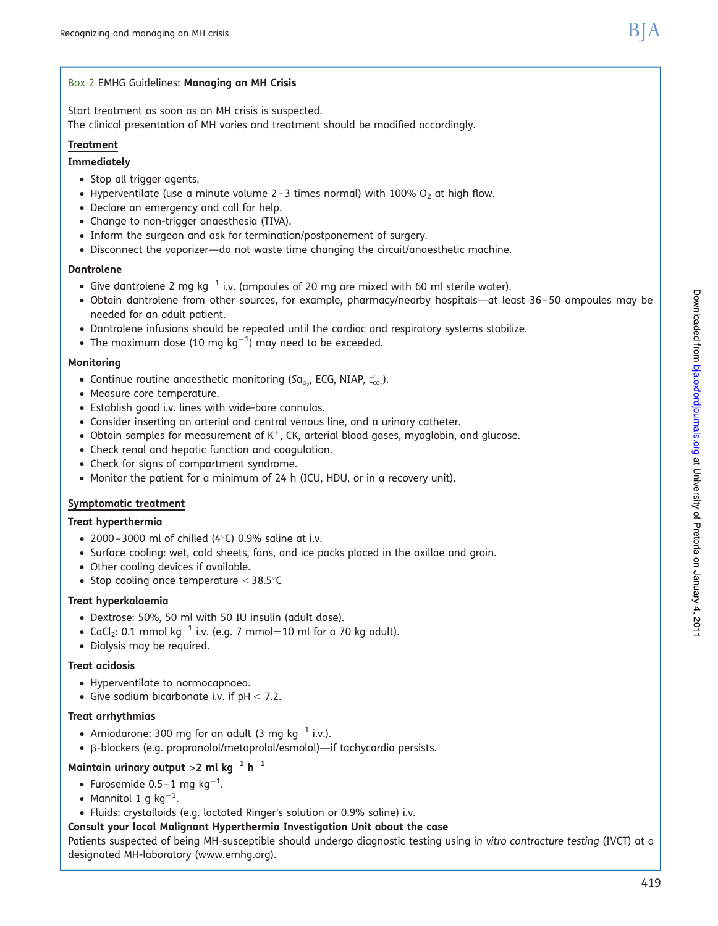### Box 2 EMHG Guidelines: Managing an MH Crisis

Start treatment as soon as an MH crisis is suspected. The clinical presentation of MH varies and treatment should be modified accordingly.

## **Treatment**

### Immediately

- † Stop all trigger agents.
- Hyperventilate (use a minute volume 2-3 times normal) with 100%  $O<sub>2</sub>$  at high flow.
- † Declare an emergency and call for help.
- Change to non-trigger anaesthesia (TIVA).
- † Inform the surgeon and ask for termination/postponement of surgery.
- † Disconnect the vaporizer—do not waste time changing the circuit/anaesthetic machine.

#### Dantrolene

- Give dantrolene 2 mg kg<sup>-1</sup> i.v. (ampoules of 20 mg are mixed with 60 ml sterile water).
- † Obtain dantrolene from other sources, for example, pharmacy/nearby hospitals—at least 36 –50 ampoules may be needed for an adult patient.
- † Dantrolene infusions should be repeated until the cardiac and respiratory systems stabilize.
- The maximum dose (10 mg  $kg^{-1}$ ) may need to be exceeded.

#### Monitoring

- Continue routine anaesthetic monitoring (Sa<sub>o2</sub>, ECG, NIAP,  $E'_{CO_2}$ ).
- Measure core temperature.
- † Establish good i.v. lines with wide-bore cannulas.
- † Consider inserting an arterial and central venous line, and a urinary catheter.
- $\bullet$  Obtain samples for measurement of K<sup>+</sup>, CK, arterial blood gases, myoglobin, and glucose.
- Check renal and hepatic function and coagulation.
- Check for signs of compartment syndrome.
- † Monitor the patient for a minimum of 24 h (ICU, HDU, or in a recovery unit).

#### Symptomatic treatment

#### Treat hyperthermia

- 2000 3000 ml of chilled (4 $\degree$ C) 0.9% saline at i.v.
- † Surface cooling: wet, cold sheets, fans, and ice packs placed in the axillae and groin.
- Other cooling devices if available.
- Stop cooling once temperature  $<$ 38.5 $^{\circ}$ C

#### Treat hyperkalaemia

- † Dextrose: 50%, 50 ml with 50 IU insulin (adult dose).
- CaCl<sub>2</sub>: 0.1 mmol kg<sup>-1</sup> i.v. (e.g. 7 mmol=10 ml for a 70 kg adult).
- † Dialysis may be required.

#### Treat acidosis

- † Hyperventilate to normocapnoea.
- Give sodium bicarbonate i.v. if  $pH < 7.2$ .

#### Treat arrhythmias

- Amiodarone: 300 mg for an adult (3 mg kg $^{-1}$  i.v.).
- † b-blockers (e.g. propranolol/metoprolol/esmolol)—if tachycardia persists.

## Maintain urinary output >2 ml kg<sup>-1</sup> h<sup>-1</sup>

- Furosemide 0.5–1 mg kg<sup>-1</sup>.
- Mannitol 1 g kg $^{-1}$ .
- † Fluids: crystalloids (e.g. lactated Ringer's solution or 0.9% saline) i.v.

#### Consult your local Malignant Hyperthermia Investigation Unit about the case

Patients suspected of being MH-susceptible should undergo diagnostic testing using in vitro contracture testing (IVCT) at a designated MH-laboratory [\(www.emhg.org\)](www.emhg.org).